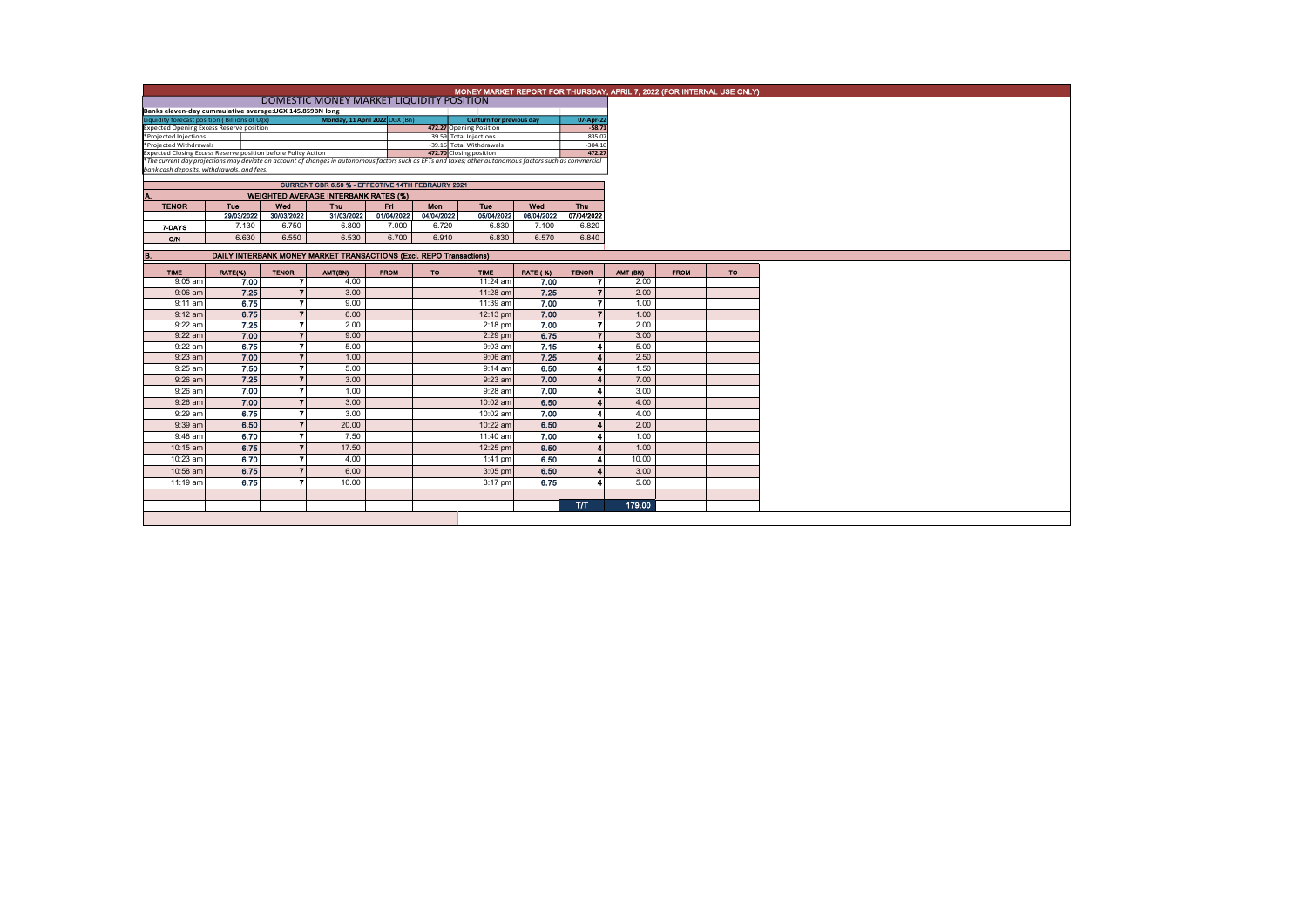|                                                                          | MONEY MARKET REPORT FOR THURSDAY, APRIL 7, 2022 (FOR INTERNAL USE ONLY)                              |                |                                                                                                                                                          |             |            |                                                   |                 |                    |          |             |           |  |  |  |
|--------------------------------------------------------------------------|------------------------------------------------------------------------------------------------------|----------------|----------------------------------------------------------------------------------------------------------------------------------------------------------|-------------|------------|---------------------------------------------------|-----------------|--------------------|----------|-------------|-----------|--|--|--|
|                                                                          |                                                                                                      |                |                                                                                                                                                          |             |            |                                                   |                 |                    |          |             |           |  |  |  |
|                                                                          | DOMESTIC MONEY MARKET LIQUIDITY POSITION<br>Banks eleven-day cummulative average: UGX 145.859BN long |                |                                                                                                                                                          |             |            |                                                   |                 |                    |          |             |           |  |  |  |
| Liquidity forecast position (Billions of Ugx)                            |                                                                                                      |                | Monday, 11 April 2022 UGX (Bn)                                                                                                                           |             |            | <b>Outturn for previous day</b>                   |                 | 07-Apr-22          |          |             |           |  |  |  |
| <b>Expected Opening Excess Reserve position</b><br>*Projected Injections |                                                                                                      |                |                                                                                                                                                          |             |            | 472.27 Opening Position<br>39.59 Total Injections |                 | $-58.71$<br>835.07 |          |             |           |  |  |  |
| *Projected Withdrawals                                                   |                                                                                                      |                |                                                                                                                                                          |             |            | -39.16 Total Withdrawals                          |                 | $-304.10$          |          |             |           |  |  |  |
| Expected Closing Excess Reserve position before Policy Action            |                                                                                                      |                |                                                                                                                                                          |             |            | 472.70 Closing position                           |                 | 472.27             |          |             |           |  |  |  |
|                                                                          |                                                                                                      |                | *The current day projections may deviate on account of changes in autonomous factors such as EFTs and taxes; other autonomous factors such as commercial |             |            |                                                   |                 |                    |          |             |           |  |  |  |
| bank cash deposits, withdrawals, and fees.                               |                                                                                                      |                |                                                                                                                                                          |             |            |                                                   |                 |                    |          |             |           |  |  |  |
|                                                                          |                                                                                                      |                | CURRENT CBR 6.50 % - EFFECTIVE 14TH FEBRAURY 2021                                                                                                        |             |            |                                                   |                 |                    |          |             |           |  |  |  |
| Α.                                                                       |                                                                                                      |                | <b>WEIGHTED AVERAGE INTERBANK RATES (%)</b>                                                                                                              |             |            |                                                   |                 |                    |          |             |           |  |  |  |
| <b>TENOR</b>                                                             | <b>Tue</b>                                                                                           | Wed            | <b>Thu</b>                                                                                                                                               | F1          | <b>Mon</b> | <b>Tue</b>                                        | Wed             | Thu                |          |             |           |  |  |  |
|                                                                          | 29/03/2022                                                                                           | 30/03/2022     | 31/03/2022                                                                                                                                               | 01/04/2022  | 04/04/2022 | 05/04/2022                                        | 06/04/2022      | 07/04/2022         |          |             |           |  |  |  |
| 7-DAYS                                                                   | 7.130                                                                                                | 6.750          | 6.800                                                                                                                                                    | 7.000       | 6.720      | 6.830                                             | 7.100           | 6.820              |          |             |           |  |  |  |
| O/N                                                                      | 6.630                                                                                                | 6,550          | 6.530                                                                                                                                                    | 6.700       | 6.910      | 6.830                                             | 6.570           | 6.840              |          |             |           |  |  |  |
|                                                                          |                                                                                                      |                |                                                                                                                                                          |             |            |                                                   |                 |                    |          |             |           |  |  |  |
| <b>B.</b>                                                                |                                                                                                      |                | DAILY INTERBANK MONEY MARKET TRANSACTIONS (Excl. REPO Transactions)                                                                                      |             |            |                                                   |                 |                    |          |             |           |  |  |  |
| <b>TIME</b>                                                              | RATE(%)                                                                                              | <b>TENOR</b>   | AMT(BN)                                                                                                                                                  | <b>FROM</b> | <b>TO</b>  | <b>TIME</b>                                       | <b>RATE (%)</b> | <b>TENOR</b>       | AMT (BN) | <b>FROM</b> | <b>TO</b> |  |  |  |
| $9:05$ am                                                                | 7.00                                                                                                 |                | 4.00                                                                                                                                                     |             |            | 11:24 am                                          | 7.00            |                    | 2.00     |             |           |  |  |  |
| $9:06$ am                                                                | 7.25                                                                                                 | $\overline{ }$ | 3.00                                                                                                                                                     |             |            | 11:28 am                                          | 7.25            | $\overline{7}$     | 2.00     |             |           |  |  |  |
| $9:11$ am                                                                | 6.75                                                                                                 | $\overline{ }$ | 9.00                                                                                                                                                     |             |            | 11:39 am                                          | 7.00            | 7                  | 1.00     |             |           |  |  |  |
| $9:12$ am                                                                | 6.75                                                                                                 | $\overline{z}$ | 6.00                                                                                                                                                     |             |            | 12:13 pm                                          | 7.00            | 7                  | 1.00     |             |           |  |  |  |
| $9:22$ am                                                                | 7.25                                                                                                 | $\overline{ }$ | 2.00                                                                                                                                                     |             |            | $2:18$ pm                                         | 7.00            | 7                  | 2.00     |             |           |  |  |  |
| $9:22$ am                                                                | 7.00                                                                                                 | $\overline{ }$ | 9.00                                                                                                                                                     |             |            | $2:29$ pm                                         | 6.75            | $\overline{ }$     | 3.00     |             |           |  |  |  |
| $9:22$ am                                                                | 6.75                                                                                                 | 7              | 5.00                                                                                                                                                     |             |            | $9:03$ am                                         | 7.15            |                    | 5.00     |             |           |  |  |  |
| $9:23$ am                                                                | 7.00                                                                                                 | $\overline{7}$ | 1.00                                                                                                                                                     |             |            | $9:06$ am                                         | 7.25            |                    | 2.50     |             |           |  |  |  |
| 9:25 am                                                                  | 7.50                                                                                                 | 7              | 5.00                                                                                                                                                     |             |            | $9:14$ am                                         | 6.50            |                    | 1.50     |             |           |  |  |  |
| $9:26$ am                                                                | 7.25                                                                                                 |                | 3.00                                                                                                                                                     |             |            | $9:23$ am                                         | 7.00            |                    | 7.00     |             |           |  |  |  |
| $9:26$ am                                                                | 7.00                                                                                                 |                | 1.00                                                                                                                                                     |             |            | $9:28$ am                                         | 7.00            |                    | 3.00     |             |           |  |  |  |
| $9:26$ am                                                                | 7.00                                                                                                 |                | 3.00                                                                                                                                                     |             |            | $10:02$ am                                        | 6.50            |                    | 4.00     |             |           |  |  |  |
| 9:29 am                                                                  | 6.75                                                                                                 | 7              | 3.00                                                                                                                                                     |             |            | 10:02 am                                          | 7,00            |                    | 4.00     |             |           |  |  |  |
| $9:39$ am                                                                | 6.50                                                                                                 | 7              | 20.00                                                                                                                                                    |             |            | 10:22 am                                          | 6.50            |                    | 2.00     |             |           |  |  |  |
| $9:48$ am                                                                | 6.70                                                                                                 | 7              | 7.50                                                                                                                                                     |             |            | 11:40 am                                          | 7.00            |                    | 1.00     |             |           |  |  |  |
| 10:15 am                                                                 | 6.75                                                                                                 | $\overline{z}$ | 17.50                                                                                                                                                    |             |            | 12:25 pm                                          | 9.50            |                    | 1.00     |             |           |  |  |  |
|                                                                          |                                                                                                      |                |                                                                                                                                                          |             |            |                                                   |                 |                    |          |             |           |  |  |  |
| 10:23 am                                                                 | 6.70                                                                                                 |                | 4.00                                                                                                                                                     |             |            | $1:41$ pm                                         | 6.50            |                    | 10.00    |             |           |  |  |  |
| 10:58 am                                                                 | 6.75                                                                                                 |                | 6.00                                                                                                                                                     |             |            | $3:05$ pm                                         | 6.50            |                    | 3.00     |             |           |  |  |  |
| 11:19 am                                                                 | 6.75                                                                                                 |                | 10.00                                                                                                                                                    |             |            | 3:17 pm                                           | 6.75            |                    | 5.00     |             |           |  |  |  |
|                                                                          |                                                                                                      |                |                                                                                                                                                          |             |            |                                                   |                 |                    |          |             |           |  |  |  |
|                                                                          |                                                                                                      |                |                                                                                                                                                          |             |            |                                                   |                 | <b>T/T</b>         | 179.00   |             |           |  |  |  |
|                                                                          |                                                                                                      |                |                                                                                                                                                          |             |            |                                                   |                 |                    |          |             |           |  |  |  |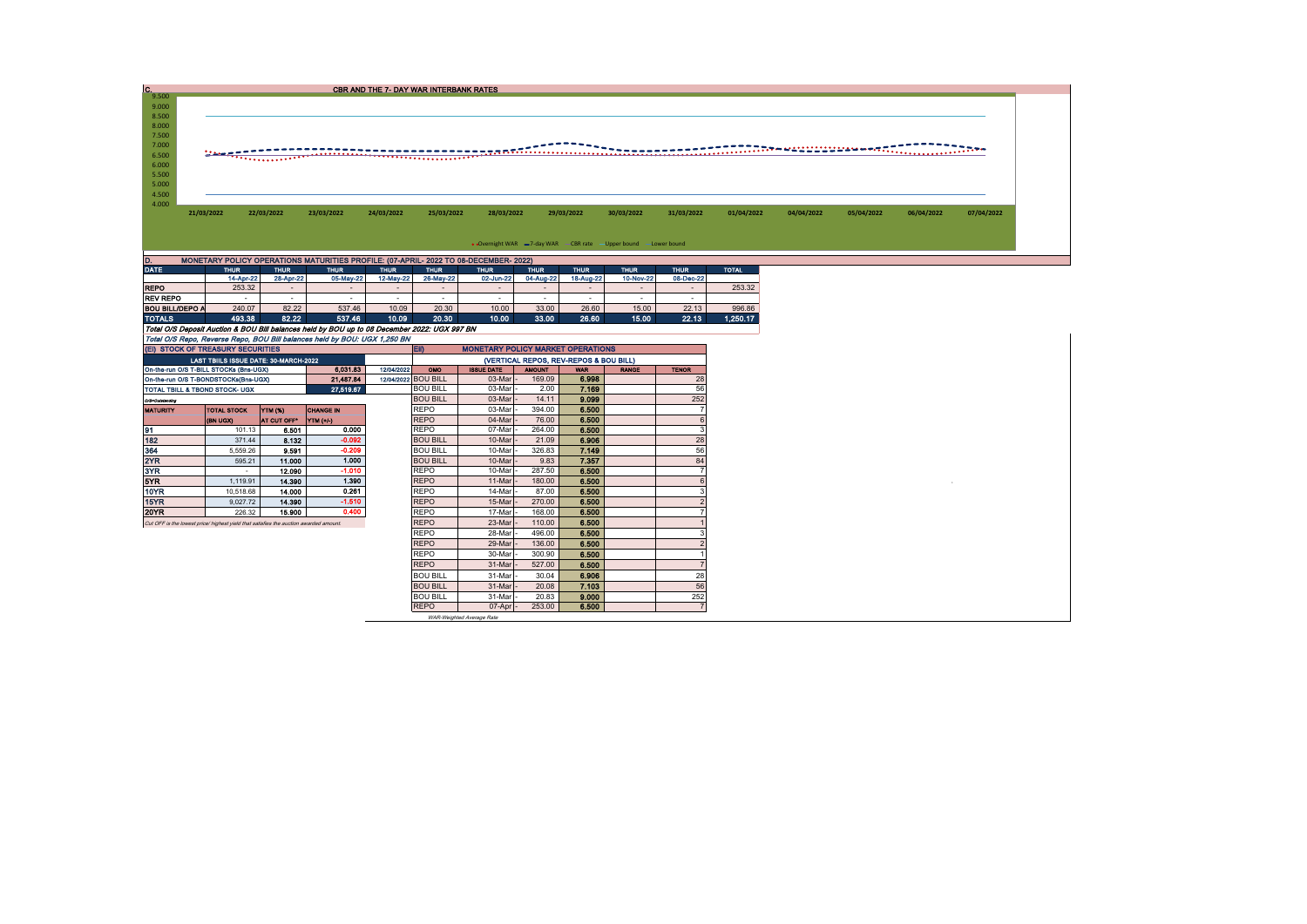| $C_{9,500}$    |            |                     |             |                                                                                      | CBR AND THE 7- DAY WAR INTERBANK RATES |             |             |             |             |                                                                    |             |              |            |            |            |            |
|----------------|------------|---------------------|-------------|--------------------------------------------------------------------------------------|----------------------------------------|-------------|-------------|-------------|-------------|--------------------------------------------------------------------|-------------|--------------|------------|------------|------------|------------|
|                |            |                     |             |                                                                                      |                                        |             |             |             |             |                                                                    |             |              |            |            |            |            |
| 9.000          |            |                     |             |                                                                                      |                                        |             |             |             |             |                                                                    |             |              |            |            |            |            |
| 8.500          |            |                     |             |                                                                                      |                                        |             |             |             |             |                                                                    |             |              |            |            |            |            |
| 8.000<br>7.500 |            |                     |             |                                                                                      |                                        |             |             |             |             |                                                                    |             |              |            |            |            |            |
| 7.000          |            |                     |             |                                                                                      |                                        |             |             |             |             |                                                                    |             |              |            |            |            |            |
| 6.500          |            | $\mathbf{r}$        |             |                                                                                      |                                        |             |             |             |             |                                                                    |             |              |            |            |            |            |
| 6.000          |            |                     |             |                                                                                      |                                        |             |             |             |             |                                                                    |             |              |            |            |            |            |
| 5.500          |            |                     |             |                                                                                      |                                        |             |             |             |             |                                                                    |             |              |            |            |            |            |
| 5.000          |            |                     |             |                                                                                      |                                        |             |             |             |             |                                                                    |             |              |            |            |            |            |
| 4.500          |            |                     |             |                                                                                      |                                        |             |             |             |             |                                                                    |             |              |            |            |            |            |
| 4.000          |            |                     |             |                                                                                      |                                        |             |             |             |             |                                                                    |             |              |            |            |            |            |
|                | 21/03/2022 |                     | 22/03/2022  | 23/03/2022                                                                           | 24/03/2022                             | 25/03/2022  | 28/03/2022  |             | 29/03/2022  | 30/03/2022                                                         | 31/03/2022  | 01/04/2022   | 04/04/2022 | 05/04/2022 | 06/04/2022 | 07/04/2022 |
|                |            |                     |             |                                                                                      |                                        |             |             |             |             |                                                                    |             |              |            |            |            |            |
|                |            |                     |             |                                                                                      |                                        |             |             |             |             |                                                                    |             |              |            |            |            |            |
|                |            |                     |             |                                                                                      |                                        |             |             |             |             | • Overnight WAR = 7-day WAR - CBR rate - Upper bound - Lower bound |             |              |            |            |            |            |
|                |            |                     |             |                                                                                      |                                        |             |             |             |             |                                                                    |             |              |            |            |            |            |
|                |            |                     |             | MONETARY POLICY OPERATIONS MATURITIES PROFILE: (07-APRIL- 2022 TO 08-DECEMBER- 2022) |                                        |             |             |             |             |                                                                    |             |              |            |            |            |            |
| <b>DATE</b>    |            | <b>THUR</b>         | <b>THUR</b> | <b>THUR</b>                                                                          | <b>THUR</b>                            | <b>THUR</b> | <b>THUR</b> | <b>THUR</b> | <b>THUR</b> | <b>THUR</b>                                                        | <b>THUR</b> | <b>TOTAL</b> |            |            |            |            |
|                |            |                     |             |                                                                                      |                                        |             |             |             |             |                                                                    |             |              |            |            |            |            |
| <b>REPO</b>    |            | 14-Apr-22<br>253.32 | 28-Apr-22   | 05-May-22                                                                            | 12-May-22                              | 26-May-22   | 02-Jun-22   | 04-Aug-22   | 18-Aug-22   | 10-Nov-22                                                          | 08-Dec-22   | 253.32       |            |            |            |            |

|                 | 14-Apr-22 | <b>28-Apr-22</b> | 05-May-22 | 12-May-22 | 26-May-221 | 02-Jun-22 | 04-Aug-22 | 18-Aug-22 | 10-Nov-22 | 08-Dec-22 |          |
|-----------------|-----------|------------------|-----------|-----------|------------|-----------|-----------|-----------|-----------|-----------|----------|
| <b>REPO</b>     | 253.32    |                  |           |           |            |           |           |           |           |           | 253.32   |
| <b>REV REPO</b> |           |                  |           |           | -          |           | -         |           |           | -         |          |
| BOU BILL/DEPO A | 240.07    | 82.22            | 537.46    | 10.09     | 20.30      | 10.00     | 33.00     | 26.60     | 15.00     | 22.13     | 996.86   |
| <b>TOTALS</b>   | 493.38    | 82.22            | 537.46    | 10.09     | 20.30      | 10.00     | 33.00     | 26.60     | 15.00     | 22.13     | 1.250.17 |

| TOTALS                                                                                | 493.38                                                                    | 82.22       | 537.46                                                                                       | 10.09      | 20.30               | 10.00                                    | 33.00         | 26.60                                  | 15.00        | 22.13        | 1.250.17 |  |  |  |  |
|---------------------------------------------------------------------------------------|---------------------------------------------------------------------------|-------------|----------------------------------------------------------------------------------------------|------------|---------------------|------------------------------------------|---------------|----------------------------------------|--------------|--------------|----------|--|--|--|--|
|                                                                                       |                                                                           |             | Total O/S Deposit Auction & BOU Bill balances held by BOU up to 08 December 2022: UGX 997 BN |            |                     |                                          |               |                                        |              |              |          |  |  |  |  |
|                                                                                       | Total O/S Repo, Reverse Repo, BOU Bill balances held by BOU: UGX 1,250 BN |             |                                                                                              |            |                     |                                          |               |                                        |              |              |          |  |  |  |  |
| (EI) STOCK OF TREASURY SECURITIES                                                     |                                                                           |             |                                                                                              |            | EII)                | <b>MONETARY POLICY MARKET OPERATIONS</b> |               |                                        |              |              |          |  |  |  |  |
|                                                                                       | LAST TBIILS ISSUE DATE: 30-MARCH-2022                                     |             |                                                                                              |            |                     |                                          |               | (VERTICAL REPOS, REV-REPOS & BOU BILL) |              |              |          |  |  |  |  |
| On-the-run O/S T-BILL STOCKs (Bns-UGX)                                                |                                                                           |             | 6,031.83                                                                                     | 12/04/2022 | OMO                 | <b>ISSUE DATE</b>                        | <b>AMOUNT</b> | <b>WAR</b>                             | <b>RANGE</b> | <b>TENOR</b> |          |  |  |  |  |
| On-the-run O/S T-BONDSTOCKs(Bns-UGX)                                                  |                                                                           |             | 21,487.84                                                                                    |            | 12/04/2022 BOU BILL | 03-Mar                                   | 169.09        | 6.998                                  |              | 28           |          |  |  |  |  |
| TOTAL TBILL & TBOND STOCK- UGX                                                        |                                                                           |             | 27.519.67                                                                                    |            | <b>BOU BILL</b>     | 03-Mar                                   | 2.00          | 7.169                                  |              | 56           |          |  |  |  |  |
| O/S=Outstanding                                                                       |                                                                           |             |                                                                                              |            | <b>BOU BILL</b>     | 03-Mar                                   | 14.11         | 9.099                                  |              | 252          |          |  |  |  |  |
| <b>MATURITY</b>                                                                       | <b>TOTAL STOCK</b>                                                        | YTM (%)     | <b>CHANGE IN</b>                                                                             |            | <b>REPO</b>         | 03-Mar                                   | 394.00        | 6.500                                  |              |              |          |  |  |  |  |
|                                                                                       | (BN UGX)                                                                  | AT CUT OFF* | <b>YTM</b> (+/)                                                                              |            | <b>REPO</b>         | 04-Mar                                   | 76.00         | 6.500                                  |              | 6            |          |  |  |  |  |
| 91                                                                                    | 101.13                                                                    | 6.501       | 0.000                                                                                        |            | <b>REPO</b>         | 07-Mar                                   | 264.00        | 6.500                                  |              | 3            |          |  |  |  |  |
| 182                                                                                   | 371.44                                                                    | 8.132       | $-0.092$                                                                                     |            | <b>BOU BILL</b>     | 10-Mar                                   | 21.09         | 6.906                                  |              | 28           |          |  |  |  |  |
| 364                                                                                   | 5.559.26                                                                  | 9.591       | $-0.209$                                                                                     |            | <b>BOU BILL</b>     | 10-Mar                                   | 326.83        | 7.149                                  |              | 56           |          |  |  |  |  |
| 2YR                                                                                   | 595.21                                                                    | 11.000      | 1.000                                                                                        |            | <b>BOU BILL</b>     | 10-Mar                                   | 9.83          | 7 3 5 7                                |              | 84           |          |  |  |  |  |
| 3YR                                                                                   | $\sim$                                                                    | 12.090      | $-1.010$                                                                                     |            | <b>REPO</b>         | 10-Mar                                   | 287.50        | 6.500                                  |              |              |          |  |  |  |  |
| 5YR                                                                                   | 1.119.91                                                                  | 14.390      | 1.390                                                                                        |            | <b>REPO</b>         | 11-Mar                                   | 180.00        | 6.500                                  |              |              |          |  |  |  |  |
| 10YR                                                                                  | 10,518.68                                                                 | 14.000      | 0.261                                                                                        |            | <b>REPO</b>         | 14-Mar                                   | 87.00         | 6.500                                  |              |              |          |  |  |  |  |
| 15YR                                                                                  | 9.027.72                                                                  | 14.390      | $-1.510$                                                                                     |            | <b>REPO</b>         | 15-Mar                                   | 270.00        | 6,500                                  |              |              |          |  |  |  |  |
| 20YR                                                                                  | 226.32                                                                    | 15.900      | 0.400                                                                                        |            | <b>REPO</b>         | 17-Mar                                   | 168.00        | 6.500                                  |              |              |          |  |  |  |  |
| Cut OFF is the lowest price/ highest vield that satisfies the auction awarded amount. |                                                                           |             |                                                                                              |            | <b>REPO</b>         | 23-Mar                                   | 110.00        | 6.500                                  |              |              |          |  |  |  |  |
|                                                                                       |                                                                           |             |                                                                                              |            | <b>REPO</b>         | 28-Mar                                   | 496.00        | 6.500                                  |              |              |          |  |  |  |  |
|                                                                                       |                                                                           |             |                                                                                              |            | <b>REPO</b>         | 29-Mar                                   | 136.00        | 6.500                                  |              |              |          |  |  |  |  |
|                                                                                       |                                                                           |             |                                                                                              |            | <b>REPO</b>         | 30-Mar                                   | 300.90        | 6.500                                  |              |              |          |  |  |  |  |
|                                                                                       |                                                                           |             |                                                                                              |            | <b>REPO</b>         | 31-Mar                                   | 527.00        | 6.500                                  |              |              |          |  |  |  |  |
|                                                                                       |                                                                           |             |                                                                                              |            | <b>BOU BILL</b>     | 31-Mar                                   | 30.04         | 6.906                                  |              | 28           |          |  |  |  |  |
|                                                                                       |                                                                           |             |                                                                                              |            | <b>BOU BILL</b>     | 31-Mar                                   | 20.08         | 7.103                                  |              | 56           |          |  |  |  |  |
|                                                                                       |                                                                           |             |                                                                                              |            | <b>BOU BILL</b>     | 31-Mar                                   | 20.83         | 9.000                                  |              | 252          |          |  |  |  |  |
|                                                                                       |                                                                           |             |                                                                                              |            | <b>REPO</b>         | $07$ -Apr $-$                            | 253.00        | 6.500                                  |              |              |          |  |  |  |  |

WAR-Weighted Average Rate